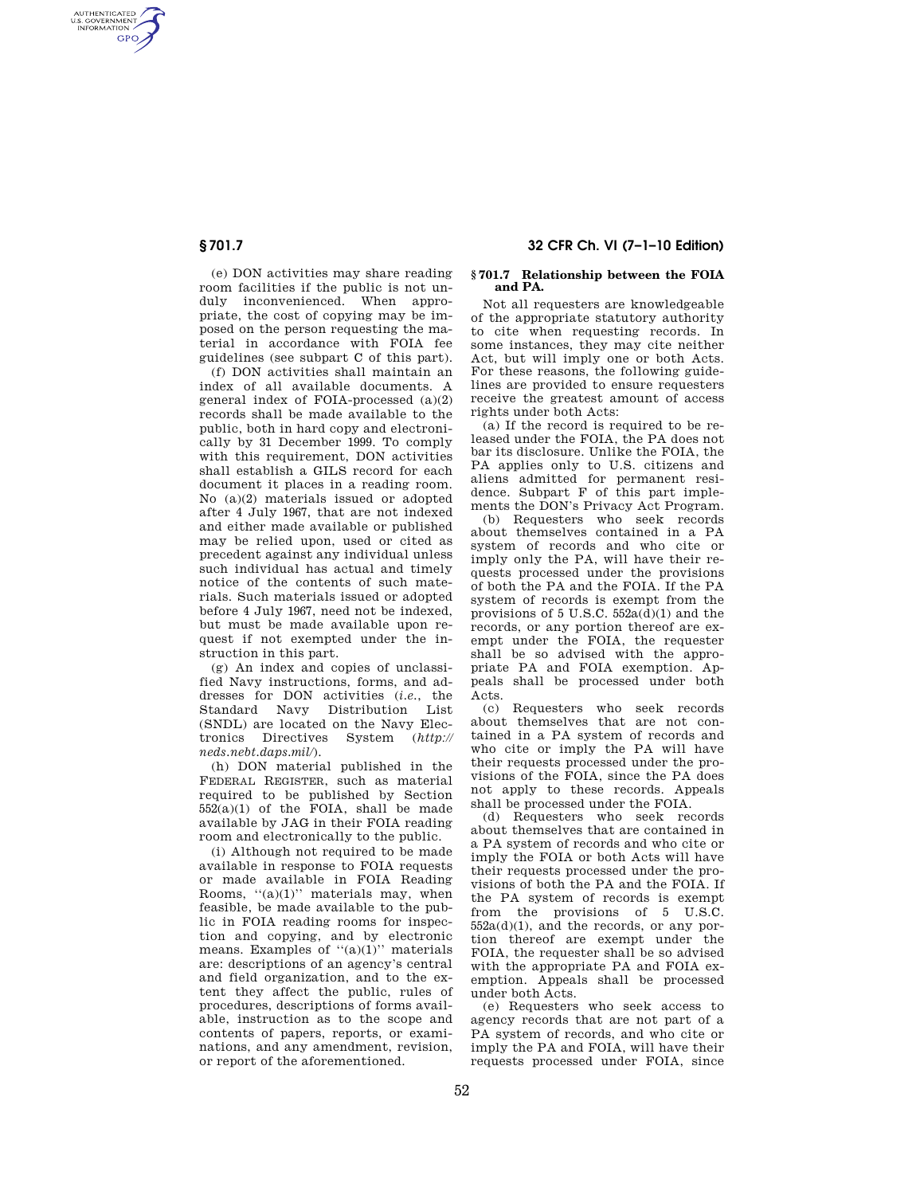AUTHENTICATED<br>U.S. GOVERNMENT<br>INFORMATION **GPO** 

**§ 701.7 32 CFR Ch. VI (7–1–10 Edition)** 

(e) DON activities may share reading room facilities if the public is not unduly inconvenienced. When appropriate, the cost of copying may be imposed on the person requesting the material in accordance with FOIA fee guidelines (see subpart C of this part).

(f) DON activities shall maintain an index of all available documents. A general index of FOIA-processed (a)(2) records shall be made available to the public, both in hard copy and electronically by 31 December 1999. To comply with this requirement, DON activities shall establish a GILS record for each document it places in a reading room. No (a)(2) materials issued or adopted after 4 July 1967, that are not indexed and either made available or published may be relied upon, used or cited as precedent against any individual unless such individual has actual and timely notice of the contents of such materials. Such materials issued or adopted before 4 July 1967, need not be indexed, but must be made available upon request if not exempted under the instruction in this part.

(g) An index and copies of unclassified Navy instructions, forms, and addresses for DON activities (*i.e.*, the Standard Navy Distribution List (SNDL) are located on the Navy Electronics Directives System (*http:// neds.nebt.daps.mil/*).

(h) DON material published in the FEDERAL REGISTER, such as material required to be published by Section  $552(a)(1)$  of the FOIA, shall be made available by JAG in their FOIA reading room and electronically to the public.

(i) Although not required to be made available in response to FOIA requests or made available in FOIA Reading Rooms,  $((a)(1))$  materials may, when feasible, be made available to the public in FOIA reading rooms for inspection and copying, and by electronic means. Examples of ''(a)(1)'' materials are: descriptions of an agency's central and field organization, and to the extent they affect the public, rules of procedures, descriptions of forms available, instruction as to the scope and contents of papers, reports, or examinations, and any amendment, revision, or report of the aforementioned.

## **§ 701.7 Relationship between the FOIA and PA.**

Not all requesters are knowledgeable of the appropriate statutory authority to cite when requesting records. In some instances, they may cite neither Act, but will imply one or both Acts. For these reasons, the following guidelines are provided to ensure requesters receive the greatest amount of access rights under both Acts:

(a) If the record is required to be released under the FOIA, the PA does not bar its disclosure. Unlike the FOIA, the PA applies only to U.S. citizens and aliens admitted for permanent residence. Subpart F of this part implements the DON's Privacy Act Program.

(b) Requesters who seek records about themselves contained in a PA system of records and who cite or imply only the PA, will have their requests processed under the provisions of both the PA and the FOIA. If the PA system of records is exempt from the provisions of 5 U.S.C. 552a(d)(1) and the records, or any portion thereof are exempt under the FOIA, the requester shall be so advised with the appropriate PA and FOIA exemption. Appeals shall be processed under both Acts.

(c) Requesters who seek records about themselves that are not contained in a PA system of records and who cite or imply the PA will have their requests processed under the provisions of the FOIA, since the PA does not apply to these records. Appeals shall be processed under the FOIA.

(d) Requesters who seek records about themselves that are contained in a PA system of records and who cite or imply the FOIA or both Acts will have their requests processed under the provisions of both the PA and the FOIA. If the PA system of records is exempt from the provisions of 5 U.S.C. 552a(d)(1), and the records, or any portion thereof are exempt under the FOIA, the requester shall be so advised with the appropriate PA and FOIA exemption. Appeals shall be processed under both Acts.

(e) Requesters who seek access to agency records that are not part of a PA system of records, and who cite or imply the PA and FOIA, will have their requests processed under FOIA, since